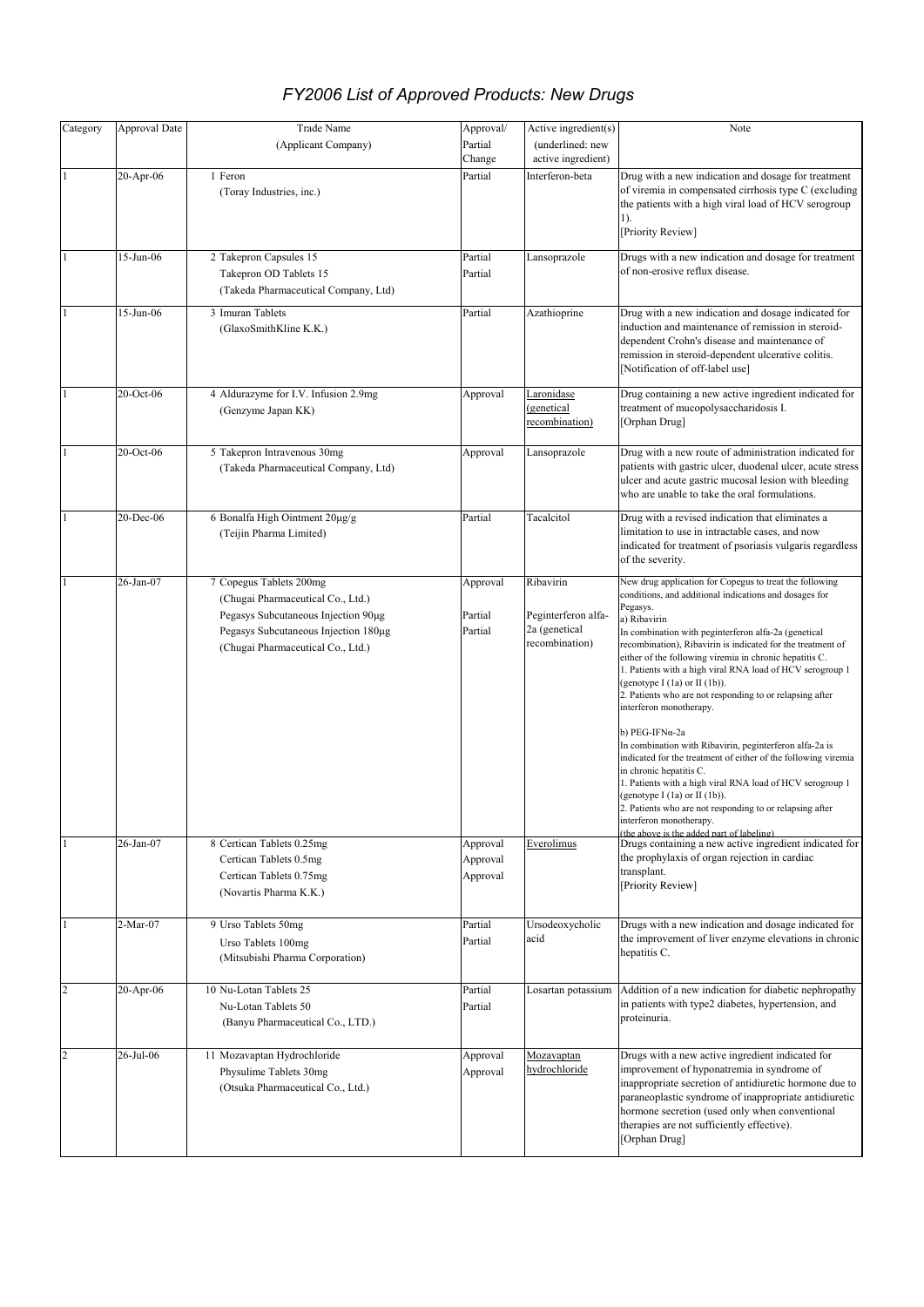| Category       | <b>Approval Date</b> | <b>Trade Name</b>                                                                                                                                                                | Approval/                        | Active ingredient(s)                                                | Note                                                                                                                                                                                                                                                                                                                                                                                                                                                                                                                                                          |
|----------------|----------------------|----------------------------------------------------------------------------------------------------------------------------------------------------------------------------------|----------------------------------|---------------------------------------------------------------------|---------------------------------------------------------------------------------------------------------------------------------------------------------------------------------------------------------------------------------------------------------------------------------------------------------------------------------------------------------------------------------------------------------------------------------------------------------------------------------------------------------------------------------------------------------------|
|                |                      | (Applicant Company)                                                                                                                                                              | Partial                          | (underlined: new                                                    |                                                                                                                                                                                                                                                                                                                                                                                                                                                                                                                                                               |
|                |                      |                                                                                                                                                                                  | Change                           | active ingredient)                                                  |                                                                                                                                                                                                                                                                                                                                                                                                                                                                                                                                                               |
|                | 20-Apr-06            | 1 Feron<br>(Toray Industries, inc.)                                                                                                                                              | Partial                          | Interferon-beta                                                     | Drug with a new indication and dosage for treatment<br>of viremia in compensated cirrhosis type C (excluding<br>the patients with a high viral load of HCV serogroup<br>1).<br>[Priority Review]                                                                                                                                                                                                                                                                                                                                                              |
|                | 15-Jun-06            | 2 Takepron Capsules 15<br>Takepron OD Tablets 15<br>(Takeda Pharmaceutical Company, Ltd)                                                                                         | Partial<br>Partial               | Lansoprazole                                                        | Drugs with a new indication and dosage for treatment<br>of non-erosive reflux disease.                                                                                                                                                                                                                                                                                                                                                                                                                                                                        |
|                | 15-Jun-06            | 3 Imuran Tablets<br>(GlaxoSmithKline K.K.)                                                                                                                                       | Partial                          | Azathioprine                                                        | Drug with a new indication and dosage indicated for<br>induction and maintenance of remission in steroid-<br>dependent Crohn's disease and maintenance of<br>remission in steroid-dependent ulcerative colitis.<br>[Notification of off-label use]                                                                                                                                                                                                                                                                                                            |
|                | 20-Oct-06            | 4 Aldurazyme for I.V. Infusion 2.9mg<br>(Genzyme Japan KK)                                                                                                                       | Approval                         | Laronidase<br>(genetical<br>recombination)                          | Drug containing a new active ingredient indicated for<br>treatment of mucopolysaccharidosis I.<br>[Orphan Drug]                                                                                                                                                                                                                                                                                                                                                                                                                                               |
|                | 20-Oct-06            | 5 Takepron Intravenous 30mg<br>(Takeda Pharmaceutical Company, Ltd)                                                                                                              | Approval                         | Lansoprazole                                                        | Drug with a new route of administration indicated for<br>patients with gastric ulcer, duodenal ulcer, acute stress<br>ulcer and acute gastric mucosal lesion with bleeding<br>who are unable to take the oral formulations.                                                                                                                                                                                                                                                                                                                                   |
|                | 20-Dec-06            | 6 Bonalfa High Ointment $20\mu$ g/g<br>(Teijin Pharma Limited)                                                                                                                   | Partial                          | Tacalcitol                                                          | Drug with a revised indication that eliminates a<br>limitation to use in intractable cases, and now<br>indicated for treatment of psoriasis vulgaris regardless<br>of the severity.                                                                                                                                                                                                                                                                                                                                                                           |
|                | 26-Jan-07            | 7 Copegus Tablets 200mg<br>(Chugai Pharmaceutical Co., Ltd.)<br>Pegasys Subcutaneous Injection 90µg<br>Pegasys Subcutaneous Injection 180µg<br>(Chugai Pharmaceutical Co., Ltd.) | Approval<br>Partial<br>Partial   | Ribavirin<br>Peginterferon alfa-<br>2a (genetical<br>recombination) | New drug application for Copegus to treat the following<br>conditions, and additional indications and dosages for<br>Pegasys.<br>a) Ribavirin<br>In combination with peginterferon alfa-2a (genetical<br>recombination), Ribavirin is indicated for the treatment of<br>either of the following viremia in chronic hepatitis C.<br>1. Patients with a high viral RNA load of HCV serogroup 1<br>(genotype I $(1a)$ or II $(1b)$ ).<br>2. Patients who are not responding to or relapsing after<br>interferon monotherapy.                                     |
|                | 26-Jan-07            | 8 Certican Tablets 0.25mg<br>Certican Tablets 0.5mg<br>Certican Tablets 0.75mg<br>(Novartis Pharma K.K.)                                                                         | Approval<br>Approval<br>Approval | Everolimus                                                          | b) PEG-IFNα-2a<br>In combination with Ribavirin, peginterferon alfa-2a is<br>indicated for the treatment of either of the following viremia<br>in chronic hepatitis C.<br>1. Patients with a high viral RNA load of HCV serogroup 1<br>(genotype I $(1a)$ or II $(1b)$ ).<br>2. Patients who are not responding to or relapsing after<br>interferon monotherapy.<br>(the above is the added part of labeling).<br>Drugs containing a new active ingredient indicated for<br>the prophylaxis of organ rejection in cardiac<br>transplant.<br>[Priority Review] |
|                | 2-Mar-07             | 9 Urso Tablets 50mg<br>Urso Tablets 100mg<br>(Mitsubishi Pharma Corporation)                                                                                                     | Partial<br>Partial               | Ursodeoxycholic<br>acid                                             | Drugs with a new indication and dosage indicated for<br>the improvement of liver enzyme elevations in chronic<br>hepatitis C.                                                                                                                                                                                                                                                                                                                                                                                                                                 |
| $\overline{c}$ | 20-Apr-06            | 10 Nu-Lotan Tablets 25<br>Nu-Lotan Tablets 50<br>(Banyu Pharmaceutical Co., LTD.)                                                                                                | Partial<br>Partial               | Losartan potassium                                                  | Addition of a new indication for diabetic nephropathy<br>in patients with type2 diabetes, hypertension, and<br>proteinuria.                                                                                                                                                                                                                                                                                                                                                                                                                                   |
| $\overline{c}$ | 26-Jul-06            | 11 Mozavaptan Hydrochloride<br>Physulime Tablets 30mg<br>(Otsuka Pharmaceutical Co., Ltd.)                                                                                       | Approval<br>Approval             | Mozavaptan<br>hydrochloride                                         | Drugs with a new active ingredient indicated for<br>improvement of hyponatremia in syndrome of<br>inappropriate secretion of antidiuretic hormone due to<br>paraneoplastic syndrome of inappropriate antidiuretic<br>hormone secretion (used only when conventional<br>therapies are not sufficiently effective).<br>[Orphan Drug]                                                                                                                                                                                                                            |

## *FY2006 List of Approved Products: New Drugs*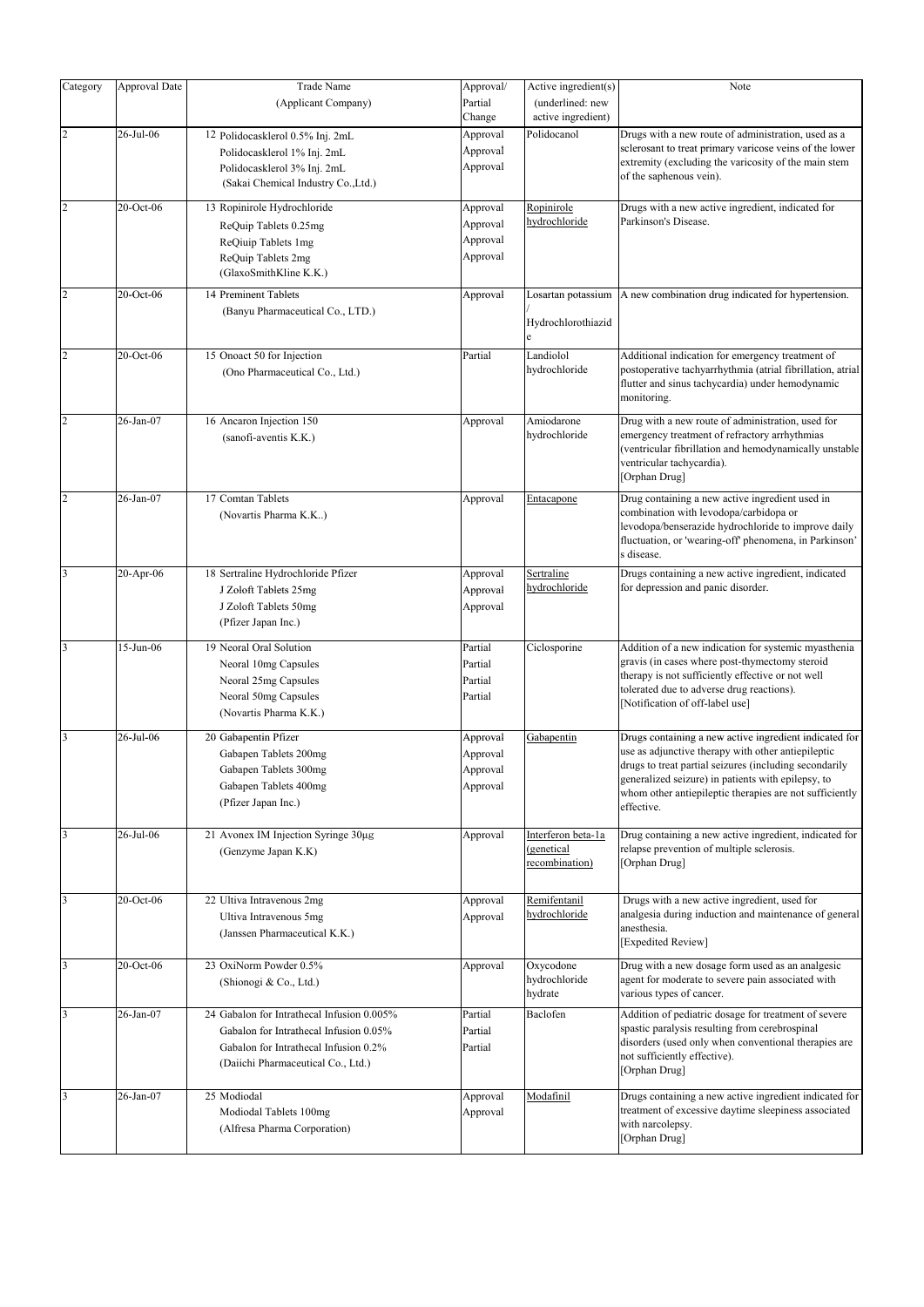| Category                | Approval Date | <b>Trade Name</b>                                                  | Approval/         | Active ingredient(s)                   | Note                                                                                                                          |
|-------------------------|---------------|--------------------------------------------------------------------|-------------------|----------------------------------------|-------------------------------------------------------------------------------------------------------------------------------|
|                         |               | (Applicant Company)                                                | Partial<br>Change | (underlined: new<br>active ingredient) |                                                                                                                               |
| $\overline{c}$          | 26-Jul-06     | 12 Polidocasklerol 0.5% Inj. 2mL                                   | Approval          | Polidocanol                            | Drugs with a new route of administration, used as a                                                                           |
|                         |               |                                                                    | Approval          |                                        | sclerosant to treat primary varicose veins of the lower                                                                       |
|                         |               | Polidocasklerol 1% Inj. 2mL                                        |                   |                                        | extremity (excluding the varicosity of the main stem                                                                          |
|                         |               | Polidocasklerol 3% Inj. 2mL<br>(Sakai Chemical Industry Co., Ltd.) | Approval          |                                        | of the saphenous vein).                                                                                                       |
| $\overline{c}$          | 20-Oct-06     | 13 Ropinirole Hydrochloride                                        | Approval          | Ropinirole                             | Drugs with a new active ingredient, indicated for                                                                             |
|                         |               | ReQuip Tablets 0.25mg                                              | Approval          | hydrochloride                          | Parkinson's Disease.                                                                                                          |
|                         |               | ReQiuip Tablets 1mg                                                | Approval          |                                        |                                                                                                                               |
|                         |               | ReQuip Tablets 2mg                                                 | Approval          |                                        |                                                                                                                               |
|                         |               | (GlaxoSmithKline K.K.)                                             |                   |                                        |                                                                                                                               |
| $\overline{c}$          | 20-Oct-06     | 14 Preminent Tablets                                               | Approval          | Losartan potassium                     | A new combination drug indicated for hypertension.                                                                            |
|                         |               | (Banyu Pharmaceutical Co., LTD.)                                   |                   |                                        |                                                                                                                               |
|                         |               |                                                                    |                   | Hydrochlorothiazid<br>e                |                                                                                                                               |
| $\overline{c}$          | 20-Oct-06     | 15 Onoact 50 for Injection                                         | Partial           | Landiolol                              | Additional indication for emergency treatment of                                                                              |
|                         |               | (Ono Pharmaceutical Co., Ltd.)                                     |                   | hydrochloride                          | postoperative tachyarrhythmia (atrial fibrillation, atrial<br>flutter and sinus tachycardia) under hemodynamic<br>monitoring. |
| $\overline{c}$          | 26-Jan-07     | 16 Ancaron Injection 150                                           | Approval          | Amiodarone                             | Drug with a new route of administration, used for                                                                             |
|                         |               | (sanofi-aventis K.K.)                                              |                   | hydrochloride                          | emergency treatment of refractory arrhythmias                                                                                 |
|                         |               |                                                                    |                   |                                        | (ventricular fibrillation and hemodynamically unstable                                                                        |
|                         |               |                                                                    |                   |                                        | ventricular tachycardia).                                                                                                     |
|                         |               |                                                                    |                   |                                        | [Orphan Drug]                                                                                                                 |
| $\overline{c}$          | 26-Jan-07     | 17 Comtan Tablets                                                  | Approval          | Entacapone                             | Drug containing a new active ingredient used in                                                                               |
|                         |               | (Novartis Pharma K.K)                                              |                   |                                        | combination with levodopa/carbidopa or                                                                                        |
|                         |               |                                                                    |                   |                                        | levodopa/benserazide hydrochloride to improve daily                                                                           |
|                         |               |                                                                    |                   |                                        | fluctuation, or 'wearing-off' phenomena, in Parkinson'                                                                        |
|                         |               |                                                                    |                   |                                        | s disease.                                                                                                                    |
| $\overline{\mathbf{3}}$ | $20-Apr-06$   | 18 Sertraline Hydrochloride Pfizer                                 | Approval          | Sertraline                             | Drugs containing a new active ingredient, indicated                                                                           |
|                         |               | J Zoloft Tablets 25mg                                              | Approval          | hydrochloride                          | for depression and panic disorder.                                                                                            |
|                         |               | J Zoloft Tablets 50mg                                              | Approval          |                                        |                                                                                                                               |
|                         |               | (Pfizer Japan Inc.)                                                |                   |                                        |                                                                                                                               |
| 3                       | $15$ -Jun-06  | 19 Neoral Oral Solution                                            | Partial           | Ciclosporine                           | Addition of a new indication for systemic myasthenia                                                                          |
|                         |               |                                                                    |                   |                                        | gravis (in cases where post-thymectomy steroid                                                                                |
|                         |               | Neoral 10mg Capsules                                               | Partial           |                                        | therapy is not sufficiently effective or not well                                                                             |
|                         |               | Neoral 25mg Capsules                                               | Partial           |                                        | tolerated due to adverse drug reactions).                                                                                     |
|                         |               | Neoral 50mg Capsules                                               | Partial           |                                        | [Notification of off-label use]                                                                                               |
|                         |               | (Novartis Pharma K.K.)                                             |                   |                                        |                                                                                                                               |
| 3                       | 26-Jul-06     | 20 Gabapentin Pfizer                                               | Approval          | Gabapentin                             | Drugs containing a new active ingredient indicated for                                                                        |
|                         |               | Gabapen Tablets 200mg                                              | Approval          |                                        | use as adjunctive therapy with other antiepileptic                                                                            |
|                         |               | Gabapen Tablets 300mg                                              | Approval          |                                        | drugs to treat partial seizures (including secondarily                                                                        |
|                         |               | Gabapen Tablets 400mg                                              | Approval          |                                        | generalized seizure) in patients with epilepsy, to                                                                            |
|                         |               | (Pfizer Japan Inc.)                                                |                   |                                        | whom other antiepileptic therapies are not sufficiently                                                                       |
|                         |               |                                                                    |                   |                                        | effective.                                                                                                                    |
| 3                       | 26-Jul-06     | 21 Avonex IM Injection Syringe 30µg                                | Approval          | Interferon beta-1a                     | Drug containing a new active ingredient, indicated for                                                                        |
|                         |               | (Genzyme Japan K.K)                                                |                   | (genetical                             | relapse prevention of multiple sclerosis.                                                                                     |
|                         |               |                                                                    |                   | recombination)                         | [Orphan Drug]                                                                                                                 |
|                         |               |                                                                    |                   |                                        |                                                                                                                               |
| 3                       | 20-Oct-06     | 22 Ultiva Intravenous 2mg                                          | Approval          | Remifentanil                           | Drugs with a new active ingredient, used for                                                                                  |
|                         |               | Ultiva Intravenous 5mg                                             | Approval          | hydrochloride                          | analgesia during induction and maintenance of general                                                                         |
|                         |               | (Janssen Pharmaceutical K.K.)                                      |                   |                                        | anesthesia.                                                                                                                   |
|                         |               |                                                                    |                   |                                        | [Expedited Review]                                                                                                            |
| 3                       | 20-Oct-06     | 23 OxiNorm Powder 0.5%                                             | Approval          | Oxycodone                              | Drug with a new dosage form used as an analgesic                                                                              |
|                         |               |                                                                    |                   | hydrochloride                          | agent for moderate to severe pain associated with                                                                             |
|                         |               | (Shionogi & Co., Ltd.)                                             |                   | hydrate                                | various types of cancer.                                                                                                      |
| 3                       | 26-Jan-07     | 24 Gabalon for Intrathecal Infusion 0.005%                         | Partial           | Baclofen                               | Addition of pediatric dosage for treatment of severe                                                                          |
|                         |               |                                                                    |                   |                                        | spastic paralysis resulting from cerebrospinal                                                                                |
|                         |               | Gabalon for Intrathecal Infusion 0.05%                             | Partial           |                                        | disorders (used only when conventional therapies are                                                                          |
|                         |               | Gabalon for Intrathecal Infusion 0.2%                              | Partial           |                                        | not sufficiently effective).                                                                                                  |
|                         |               | (Daiichi Pharmaceutical Co., Ltd.)                                 |                   |                                        | [Orphan Drug]                                                                                                                 |
|                         |               |                                                                    |                   |                                        |                                                                                                                               |
| 3                       | 26-Jan-07     | 25 Modiodal                                                        | Approval          | Modafinil                              | Drugs containing a new active ingredient indicated for                                                                        |
|                         |               | Modiodal Tablets 100mg                                             | Approval          |                                        | treatment of excessive daytime sleepiness associated                                                                          |
|                         |               | (Alfresa Pharma Corporation)                                       |                   |                                        | with narcolepsy.<br>[Orphan Drug]                                                                                             |
|                         |               |                                                                    |                   |                                        |                                                                                                                               |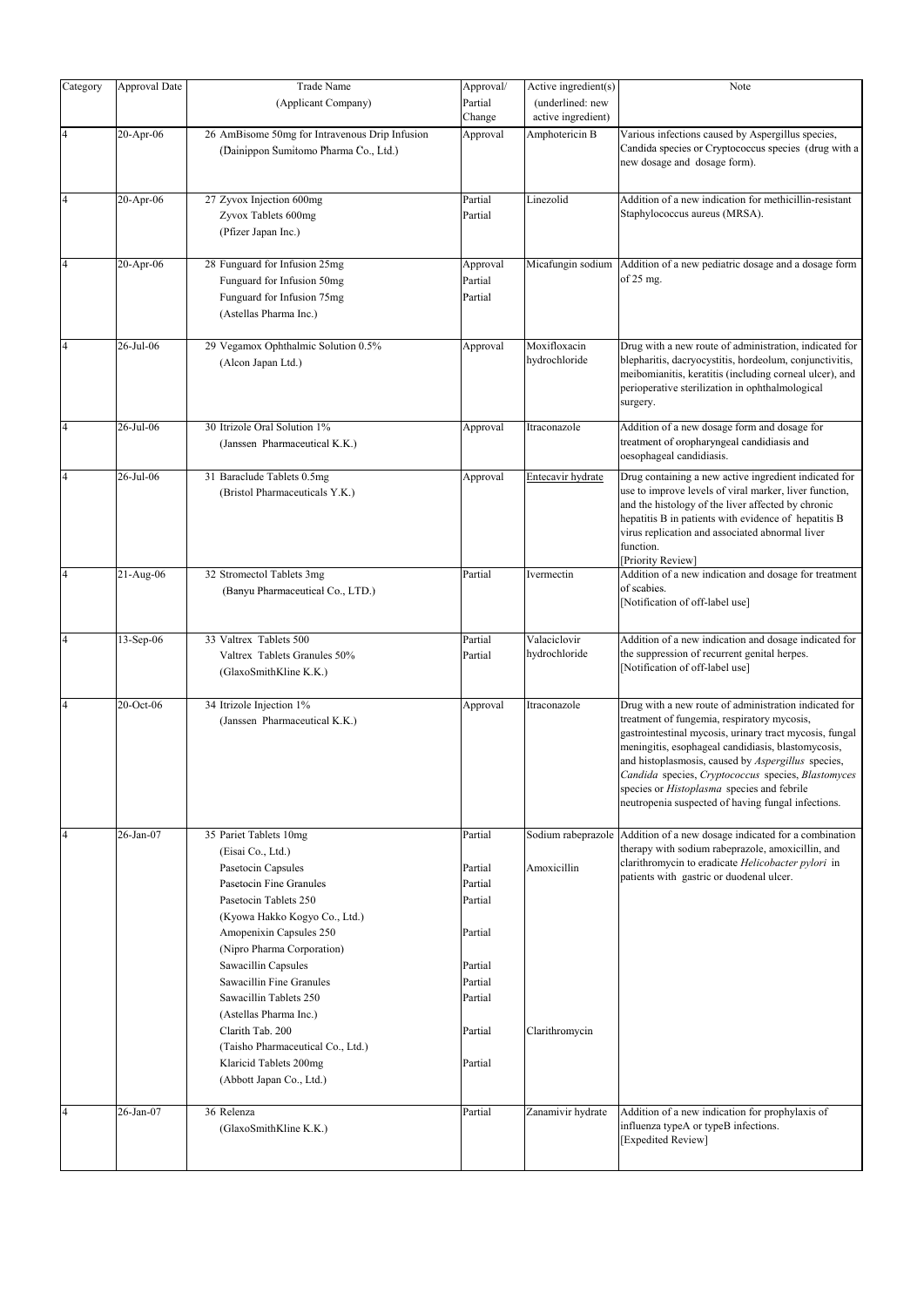| Category       | Approval Date | Trade Name                                                                                                                                                                                                                                                                                                                                                                                                                            | Approval/                                                                                                  | Active ingredient(s)                                | Note                                                                                                                                                                                                                                                                                                                                                                                                                                         |
|----------------|---------------|---------------------------------------------------------------------------------------------------------------------------------------------------------------------------------------------------------------------------------------------------------------------------------------------------------------------------------------------------------------------------------------------------------------------------------------|------------------------------------------------------------------------------------------------------------|-----------------------------------------------------|----------------------------------------------------------------------------------------------------------------------------------------------------------------------------------------------------------------------------------------------------------------------------------------------------------------------------------------------------------------------------------------------------------------------------------------------|
|                |               | (Applicant Company)                                                                                                                                                                                                                                                                                                                                                                                                                   | Partial<br>Change                                                                                          | (underlined: new<br>active ingredient)              |                                                                                                                                                                                                                                                                                                                                                                                                                                              |
| $\overline{4}$ | 20-Apr-06     | 26 AmBisome 50mg for Intravenous Drip Infusion<br>(Dainippon Sumitomo Pharma Co., Ltd.)                                                                                                                                                                                                                                                                                                                                               | Approval                                                                                                   | Amphotericin B                                      | Various infections caused by Aspergillus species,<br>Candida species or Cryptococcus species (drug with a<br>new dosage and dosage form).                                                                                                                                                                                                                                                                                                    |
| 4              | $20-Apr-06$   | 27 Zyvox Injection 600mg<br>Zyvox Tablets 600mg<br>(Pfizer Japan Inc.)                                                                                                                                                                                                                                                                                                                                                                | Partial<br>Partial                                                                                         | Linezolid                                           | Addition of a new indication for methicillin-resistant<br>Staphylococcus aureus (MRSA).                                                                                                                                                                                                                                                                                                                                                      |
| 4              | $20-Apr-06$   | 28 Funguard for Infusion 25mg<br>Funguard for Infusion 50mg<br>Funguard for Infusion 75mg<br>(Astellas Pharma Inc.)                                                                                                                                                                                                                                                                                                                   | Approval<br>Partial<br>Partial                                                                             | Micafungin sodium                                   | Addition of a new pediatric dosage and a dosage form<br>of $25$ mg.                                                                                                                                                                                                                                                                                                                                                                          |
| $\overline{4}$ | 26-Jul-06     | 29 Vegamox Ophthalmic Solution 0.5%<br>(Alcon Japan Ltd.)                                                                                                                                                                                                                                                                                                                                                                             | Approval                                                                                                   | Moxifloxacin<br>hydrochloride                       | Drug with a new route of administration, indicated for<br>blepharitis, dacryocystitis, hordeolum, conjunctivitis,<br>meibomianitis, keratitis (including corneal ulcer), and<br>perioperative sterilization in ophthalmological<br>surgery.                                                                                                                                                                                                  |
| $\overline{4}$ | 26-Jul-06     | 30 Itrizole Oral Solution 1%<br>(Janssen Pharmaceutical K.K.)                                                                                                                                                                                                                                                                                                                                                                         | Approval                                                                                                   | Itraconazole                                        | Addition of a new dosage form and dosage for<br>treatment of oropharyngeal candidiasis and<br>oesophageal candidiasis.                                                                                                                                                                                                                                                                                                                       |
| 4              | 26-Jul-06     | 31 Baraclude Tablets 0.5mg<br>(Bristol Pharmaceuticals Y.K.)                                                                                                                                                                                                                                                                                                                                                                          | Approval                                                                                                   | Entecavir hydrate                                   | Drug containing a new active ingredient indicated for<br>use to improve levels of viral marker, liver function,<br>and the histology of the liver affected by chronic<br>hepatitis B in patients with evidence of hepatitis B<br>virus replication and associated abnormal liver<br>function.<br>Priority Review                                                                                                                             |
| $\overline{4}$ | $21-Aug-06$   | 32 Stromectol Tablets 3mg<br>(Banyu Pharmaceutical Co., LTD.)                                                                                                                                                                                                                                                                                                                                                                         | Partial                                                                                                    | Ivermectin                                          | Addition of a new indication and dosage for treatment<br>of scabies.<br>[Notification of off-label use]                                                                                                                                                                                                                                                                                                                                      |
| $\overline{4}$ | $13-Sep-06$   | 33 Valtrex Tablets 500<br>Valtrex Tablets Granules 50%<br>(GlaxoSmithKline K.K.)                                                                                                                                                                                                                                                                                                                                                      | Partial<br>Partial                                                                                         | Valaciclovir<br>hydrochloride                       | Addition of a new indication and dosage indicated for<br>the suppression of recurrent genital herpes.<br>[Notification of off-label use]                                                                                                                                                                                                                                                                                                     |
| $\overline{4}$ | 20-Oct-06     | 34 Itrizole Injection 1%<br>(Janssen Pharmaceutical K.K.)                                                                                                                                                                                                                                                                                                                                                                             | Approval                                                                                                   | Itraconazole                                        | Drug with a new route of administration indicated for<br>treatment of fungemia, respiratory mycosis,<br>gastrointestinal mycosis, urinary tract mycosis, fungal<br>meningitis, esophageal candidiasis, blastomycosis,<br>and histoplasmosis, caused by Aspergillus species,<br>Candida species, Cryptococcus species, Blastomyces<br>species or <i>Histoplasma</i> species and febrile<br>neutropenia suspected of having fungal infections. |
| $\overline{4}$ | 26-Jan-07     | 35 Pariet Tablets 10mg<br>(Eisai Co., Ltd.)<br>Pasetocin Capsules<br>Pasetocin Fine Granules<br>Pasetocin Tablets 250<br>(Kyowa Hakko Kogyo Co., Ltd.)<br>Amopenixin Capsules 250<br>(Nipro Pharma Corporation)<br>Sawacillin Capsules<br>Sawacillin Fine Granules<br>Sawacillin Tablets 250<br>(Astellas Pharma Inc.)<br>Clarith Tab. 200<br>(Taisho Pharmaceutical Co., Ltd.)<br>Klaricid Tablets 200mg<br>(Abbott Japan Co., Ltd.) | Partial<br>Partial<br>Partial<br>Partial<br>Partial<br>Partial<br>Partial<br>Partial<br>Partial<br>Partial | Sodium rabeprazole<br>Amoxicillin<br>Clarithromycin | Addition of a new dosage indicated for a combination<br>therapy with sodium rabeprazole, amoxicillin, and<br>clarithromycin to eradicate Helicobacter pylori in<br>patients with gastric or duodenal ulcer.                                                                                                                                                                                                                                  |
| 4              | 26-Jan-07     | 36 Relenza<br>(GlaxoSmithKline K.K.)                                                                                                                                                                                                                                                                                                                                                                                                  | Partial                                                                                                    | Zanamivir hydrate                                   | Addition of a new indication for prophylaxis of<br>influenza typeA or typeB infections.<br>[Expedited Review]                                                                                                                                                                                                                                                                                                                                |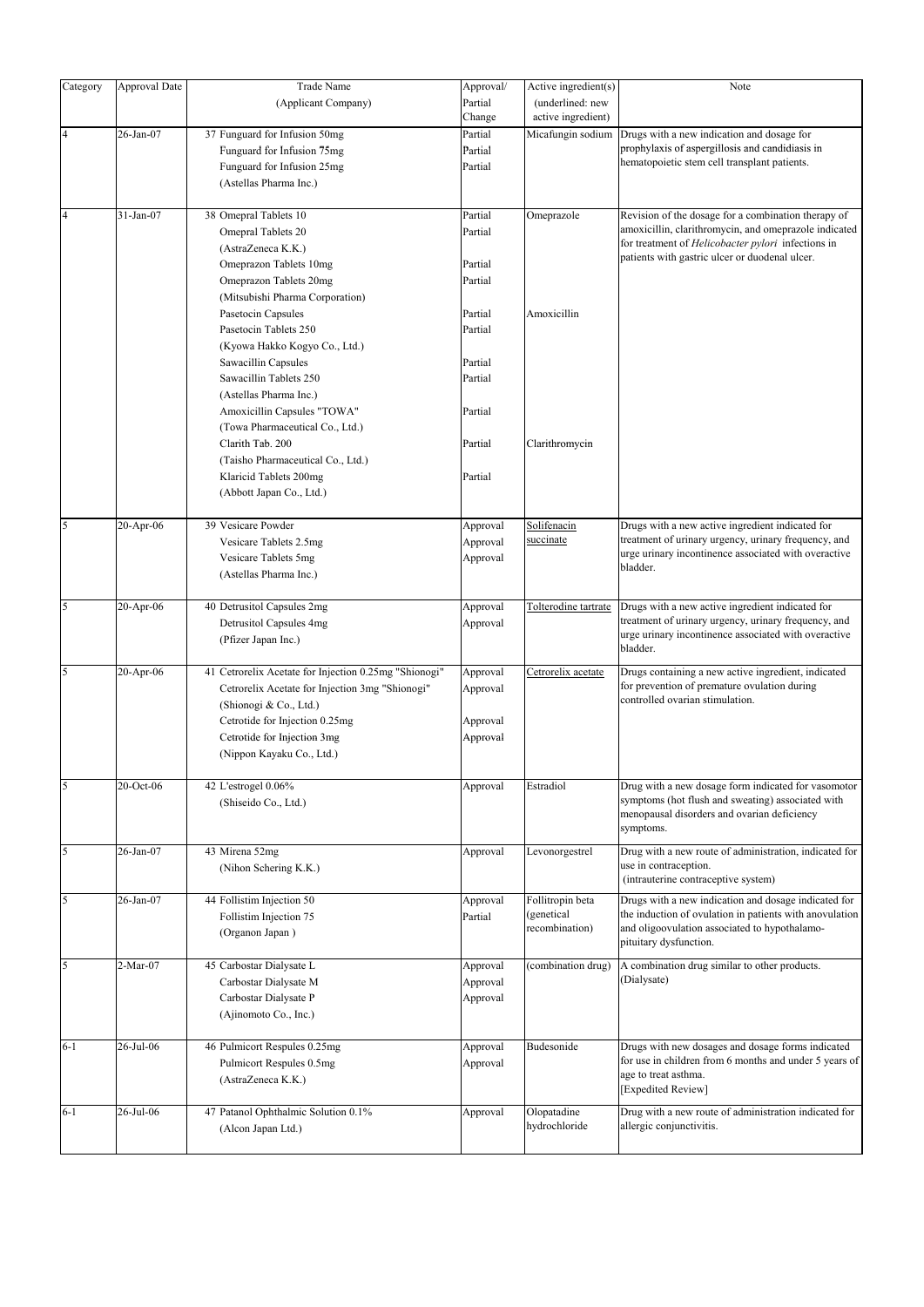| Category                | Approval Date | <b>Trade Name</b>                                     | Approval/ | Active ingredient(s) | Note                                                                                                     |
|-------------------------|---------------|-------------------------------------------------------|-----------|----------------------|----------------------------------------------------------------------------------------------------------|
|                         |               | (Applicant Company)                                   | Partial   | (underlined: new     |                                                                                                          |
|                         |               |                                                       | Change    | active ingredient)   |                                                                                                          |
| $\overline{\mathbf{4}}$ | 26-Jan-07     | 37 Funguard for Infusion 50mg                         | Partial   | Micafungin sodium    | Drugs with a new indication and dosage for                                                               |
|                         |               | Funguard for Infusion 75mg                            | Partial   |                      | prophylaxis of aspergillosis and candidiasis in                                                          |
|                         |               | Funguard for Infusion 25mg                            | Partial   |                      | hematopoietic stem cell transplant patients.                                                             |
|                         |               | (Astellas Pharma Inc.)                                |           |                      |                                                                                                          |
|                         |               |                                                       |           |                      |                                                                                                          |
| $\overline{\mathbf{4}}$ | 31-Jan-07     | 38 Omepral Tablets 10                                 | Partial   | Omeprazole           | Revision of the dosage for a combination therapy of                                                      |
|                         |               | Omepral Tablets 20                                    | Partial   |                      | amoxicillin, clarithromycin, and omeprazole indicated                                                    |
|                         |               |                                                       |           |                      | for treatment of Helicobacter pylori infections in                                                       |
|                         |               | (AstraZeneca K.K.)                                    |           |                      | patients with gastric ulcer or duodenal ulcer.                                                           |
|                         |               | Omeprazon Tablets 10mg                                | Partial   |                      |                                                                                                          |
|                         |               | Omeprazon Tablets 20mg                                | Partial   |                      |                                                                                                          |
|                         |               | (Mitsubishi Pharma Corporation)                       |           |                      |                                                                                                          |
|                         |               | Pasetocin Capsules                                    | Partial   | Amoxicillin          |                                                                                                          |
|                         |               | Pasetocin Tablets 250                                 | Partial   |                      |                                                                                                          |
|                         |               | (Kyowa Hakko Kogyo Co., Ltd.)                         |           |                      |                                                                                                          |
|                         |               | Sawacillin Capsules                                   | Partial   |                      |                                                                                                          |
|                         |               | Sawacillin Tablets 250                                | Partial   |                      |                                                                                                          |
|                         |               | (Astellas Pharma Inc.)                                |           |                      |                                                                                                          |
|                         |               | Amoxicillin Capsules "TOWA"                           | Partial   |                      |                                                                                                          |
|                         |               | (Towa Pharmaceutical Co., Ltd.)                       |           |                      |                                                                                                          |
|                         |               | Clarith Tab. 200                                      | Partial   | Clarithromycin       |                                                                                                          |
|                         |               | (Taisho Pharmaceutical Co., Ltd.)                     |           |                      |                                                                                                          |
|                         |               | Klaricid Tablets 200mg                                | Partial   |                      |                                                                                                          |
|                         |               | (Abbott Japan Co., Ltd.)                              |           |                      |                                                                                                          |
|                         |               |                                                       |           |                      |                                                                                                          |
| 5                       | $20-Apr-06$   | 39 Vesicare Powder                                    | Approval  | Solifenacin          | Drugs with a new active ingredient indicated for                                                         |
|                         |               | Vesicare Tablets 2.5mg                                | Approval  | succinate            | treatment of urinary urgency, urinary frequency, and                                                     |
|                         |               | Vesicare Tablets 5mg                                  | Approval  |                      | urge urinary incontinence associated with overactive<br>bladder.                                         |
|                         |               | (Astellas Pharma Inc.)                                |           |                      |                                                                                                          |
|                         |               |                                                       |           |                      |                                                                                                          |
| 5                       | 20-Apr-06     | 40 Detrusitol Capsules 2mg                            | Approval  | Tolterodine tartrate | Drugs with a new active ingredient indicated for                                                         |
|                         |               | Detrusitol Capsules 4mg                               | Approval  |                      | treatment of urinary urgency, urinary frequency, and                                                     |
|                         |               | (Pfizer Japan Inc.)                                   |           |                      | urge urinary incontinence associated with overactive<br>bladder.                                         |
|                         |               |                                                       |           |                      |                                                                                                          |
| 5                       | 20-Apr-06     | 41 Cetrorelix Acetate for Injection 0.25mg "Shionogi" | Approval  | Cetrorelix acetate   | Drugs containing a new active ingredient, indicated                                                      |
|                         |               | Cetrorelix Acetate for Injection 3mg "Shionogi"       | Approval  |                      | for prevention of premature ovulation during<br>controlled ovarian stimulation.                          |
|                         |               | (Shionogi & Co., Ltd.)                                |           |                      |                                                                                                          |
|                         |               | Cetrotide for Injection 0.25mg                        | Approval  |                      |                                                                                                          |
|                         |               | Cetrotide for Injection 3mg                           | Approval  |                      |                                                                                                          |
|                         |               | (Nippon Kayaku Co., Ltd.)                             |           |                      |                                                                                                          |
| 5                       |               |                                                       |           |                      |                                                                                                          |
|                         | 20-Oct-06     | 42 L'estrogel 0.06%                                   | Approval  | Estradiol            | Drug with a new dosage form indicated for vasomotor<br>symptoms (hot flush and sweating) associated with |
|                         |               | (Shiseido Co., Ltd.)                                  |           |                      | menopausal disorders and ovarian deficiency                                                              |
|                         |               |                                                       |           |                      | symptoms.                                                                                                |
| 5                       | 26-Jan-07     | 43 Mirena 52mg                                        | Approval  | Levonorgestrel       | Drug with a new route of administration, indicated for                                                   |
|                         |               | (Nihon Schering K.K.)                                 |           |                      | use in contraception.                                                                                    |
|                         |               |                                                       |           |                      | (intrauterine contraceptive system)                                                                      |
| 5                       | 26-Jan-07     | 44 Follistim Injection 50                             | Approval  | Follitropin beta     | Drugs with a new indication and dosage indicated for                                                     |
|                         |               | Follistim Injection 75                                | Partial   | (genetical           | the induction of ovulation in patients with anovulation                                                  |
|                         |               | (Organon Japan)                                       |           | recombination)       | and oligoovulation associated to hypothalamo-                                                            |
|                         |               |                                                       |           |                      | pituitary dysfunction.                                                                                   |
| 5                       | 2-Mar-07      | 45 Carbostar Dialysate L                              | Approval  | (combination drug)   | A combination drug similar to other products.                                                            |
|                         |               | Carbostar Dialysate M                                 | Approval  |                      | (Dialysate)                                                                                              |
|                         |               | Carbostar Dialysate P                                 | Approval  |                      |                                                                                                          |
|                         |               | (Ajinomoto Co., Inc.)                                 |           |                      |                                                                                                          |
|                         |               |                                                       |           |                      |                                                                                                          |
| $6 - 1$                 | 26-Jul-06     | 46 Pulmicort Respules 0.25mg                          | Approval  | Budesonide           | Drugs with new dosages and dosage forms indicated                                                        |
|                         |               | Pulmicort Respules 0.5mg                              | Approval  |                      | for use in children from 6 months and under 5 years of                                                   |
|                         |               | (AstraZeneca K.K.)                                    |           |                      | age to treat asthma.                                                                                     |
|                         |               |                                                       |           |                      | [Expedited Review]                                                                                       |
| $6 - 1$                 | 26-Jul-06     | 47 Patanol Ophthalmic Solution 0.1%                   | Approval  | Olopatadine          | Drug with a new route of administration indicated for                                                    |
|                         |               | (Alcon Japan Ltd.)                                    |           | hydrochloride        | allergic conjunctivitis.                                                                                 |
|                         |               |                                                       |           |                      |                                                                                                          |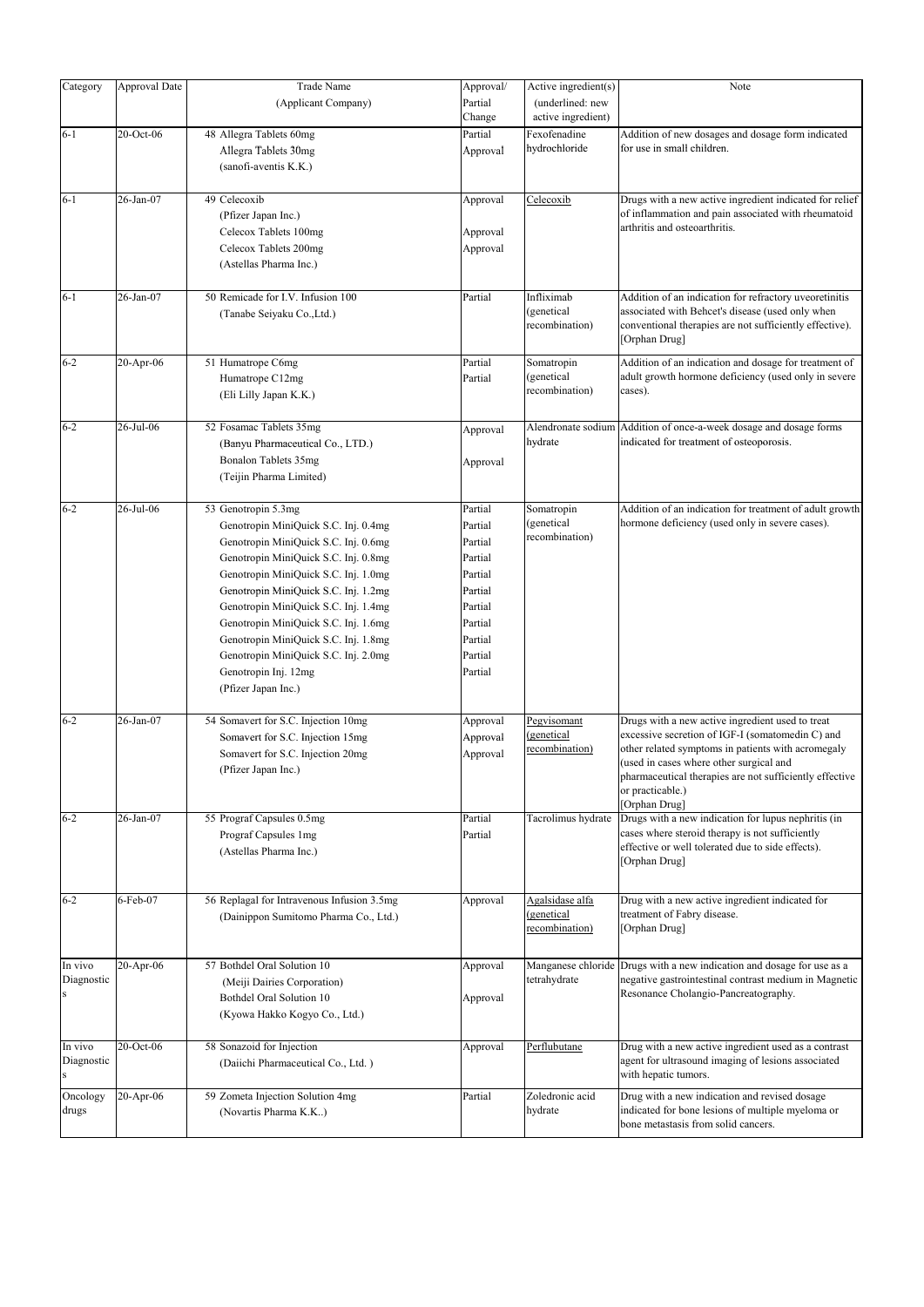| Category   | Approval Date | <b>Trade Name</b>                          | Approval/ | Active ingredient(s) | Note                                                                       |
|------------|---------------|--------------------------------------------|-----------|----------------------|----------------------------------------------------------------------------|
|            |               | (Applicant Company)                        | Partial   | (underlined: new     |                                                                            |
|            |               |                                            | Change    | active ingredient)   |                                                                            |
| $6 - 1$    | 20-Oct-06     | 48 Allegra Tablets 60mg                    | Partial   | Fexofenadine         | Addition of new dosages and dosage form indicated                          |
|            |               | Allegra Tablets 30mg                       | Approval  | hydrochloride        | for use in small children.                                                 |
|            |               | (sanofi-aventis K.K.)                      |           |                      |                                                                            |
|            |               |                                            |           |                      |                                                                            |
| $6 - 1$    | 26-Jan-07     | 49 Celecoxib                               | Approval  | Celecoxib            | Drugs with a new active ingredient indicated for relief                    |
|            |               | (Pfizer Japan Inc.)                        |           |                      | of inflammation and pain associated with rheumatoid                        |
|            |               |                                            |           |                      | arthritis and osteoarthritis.                                              |
|            |               | Celecox Tablets 100mg                      | Approval  |                      |                                                                            |
|            |               | Celecox Tablets 200mg                      | Approval  |                      |                                                                            |
|            |               | (Astellas Pharma Inc.)                     |           |                      |                                                                            |
| $6 - 1$    | 26-Jan-07     | 50 Remicade for I.V. Infusion 100          | Partial   | Infliximab           | Addition of an indication for refractory uveoretinitis                     |
|            |               | (Tanabe Seiyaku Co., Ltd.)                 |           | (genetical           | associated with Behcet's disease (used only when                           |
|            |               |                                            |           | recombination)       | conventional therapies are not sufficiently effective).                    |
|            |               |                                            |           |                      | [Orphan Drug]                                                              |
| $6 - 2$    | 20-Apr-06     | 51 Humatrope C6mg                          | Partial   | Somatropin           | Addition of an indication and dosage for treatment of                      |
|            |               | Humatrope C12mg                            | Partial   | (genetical           | adult growth hormone deficiency (used only in severe                       |
|            |               | (Eli Lilly Japan K.K.)                     |           | recombination)       | cases).                                                                    |
|            |               |                                            |           |                      |                                                                            |
| $6 - 2$    | 26-Jul-06     | 52 Fosamac Tablets 35mg                    | Approval  | Alendronate sodium   | Addition of once-a-week dosage and dosage forms                            |
|            |               | (Banyu Pharmaceutical Co., LTD.)           |           | hydrate              | indicated for treatment of osteoporosis.                                   |
|            |               | Bonalon Tablets 35mg                       | Approval  |                      |                                                                            |
|            |               | (Teijin Pharma Limited)                    |           |                      |                                                                            |
|            |               |                                            |           |                      |                                                                            |
| $6 - 2$    | 26-Jul-06     | 53 Genotropin 5.3mg                        | Partial   | Somatropin           | Addition of an indication for treatment of adult growth                    |
|            |               | Genotropin MiniQuick S.C. Inj. 0.4mg       | Partial   | (genetical           | hormone deficiency (used only in severe cases).                            |
|            |               | Genotropin MiniQuick S.C. Inj. 0.6mg       | Partial   | recombination)       |                                                                            |
|            |               | Genotropin MiniQuick S.C. Inj. 0.8mg       | Partial   |                      |                                                                            |
|            |               | Genotropin MiniQuick S.C. Inj. 1.0mg       | Partial   |                      |                                                                            |
|            |               | Genotropin MiniQuick S.C. Inj. 1.2mg       | Partial   |                      |                                                                            |
|            |               | Genotropin MiniQuick S.C. Inj. 1.4mg       | Partial   |                      |                                                                            |
|            |               |                                            | Partial   |                      |                                                                            |
|            |               | Genotropin MiniQuick S.C. Inj. 1.6mg       |           |                      |                                                                            |
|            |               | Genotropin MiniQuick S.C. Inj. 1.8mg       | Partial   |                      |                                                                            |
|            |               | Genotropin MiniQuick S.C. Inj. 2.0mg       | Partial   |                      |                                                                            |
|            |               | Genotropin Inj. 12mg                       | Partial   |                      |                                                                            |
|            |               | (Pfizer Japan Inc.)                        |           |                      |                                                                            |
| $6 - 2$    | 26-Jan-07     | 54 Somavert for S.C. Injection 10mg        | Approval  | Pegvisomant          | Drugs with a new active ingredient used to treat                           |
|            |               | Somavert for S.C. Injection 15mg           | Approval  | (genetical           | excessive secretion of IGF-I (somatomedin C) and                           |
|            |               | Somavert for S.C. Injection 20mg           | Approval  | recombination)       | other related symptoms in patients with acromegaly                         |
|            |               |                                            |           |                      | (used in cases where other surgical and                                    |
|            |               | (Pfizer Japan Inc.)                        |           |                      | pharmaceutical therapies are not sufficiently effective                    |
|            |               |                                            |           |                      | or practicable.)                                                           |
| $6 - 2$    | 26-Jan-07     | 55 Prograf Capsules 0.5mg                  | Partial   | Tacrolimus hydrate   | [Orphan Drug]<br>Drugs with a new indication for lupus nephritis (in       |
|            |               | Prograf Capsules 1mg                       | Partial   |                      | cases where steroid therapy is not sufficiently                            |
|            |               | (Astellas Pharma Inc.)                     |           |                      | effective or well tolerated due to side effects).                          |
|            |               |                                            |           |                      | [Orphan Drug]                                                              |
|            |               |                                            |           |                      |                                                                            |
| $6 - 2$    | 6-Feb-07      | 56 Replagal for Intravenous Infusion 3.5mg | Approval  | Agalsidase alfa      | Drug with a new active ingredient indicated for                            |
|            |               | (Dainippon Sumitomo Pharma Co., Ltd.)      |           | (genetical           | treatment of Fabry disease.                                                |
|            |               |                                            |           | recombination)       | [Orphan Drug]                                                              |
|            |               |                                            |           |                      |                                                                            |
| In vivo    | 20-Apr-06     | 57 Bothdel Oral Solution 10                | Approval  | Manganese chloride   | Drugs with a new indication and dosage for use as a                        |
| Diagnostic |               | (Meiji Dairies Corporation)                |           | tetrahydrate         | negative gastrointestinal contrast medium in Magnetic                      |
|            |               | Bothdel Oral Solution 10                   | Approval  |                      | Resonance Cholangio-Pancreatography.                                       |
|            |               | (Kyowa Hakko Kogyo Co., Ltd.)              |           |                      |                                                                            |
|            |               |                                            |           |                      |                                                                            |
| In vivo    | 20-Oct-06     | 58 Sonazoid for Injection                  | Approval  | Perflubutane         | Drug with a new active ingredient used as a contrast                       |
| Diagnostic |               | (Daiichi Pharmaceutical Co., Ltd.)         |           |                      | agent for ultrasound imaging of lesions associated<br>with hepatic tumors. |
| Oncology   | $20$ -Apr-06  | 59 Zometa Injection Solution 4mg           | Partial   | Zoledronic acid      | Drug with a new indication and revised dosage                              |
| drugs      |               | (Novartis Pharma K.K)                      |           | hydrate              | indicated for bone lesions of multiple myeloma or                          |
|            |               |                                            |           |                      | bone metastasis from solid cancers.                                        |
|            |               |                                            |           |                      |                                                                            |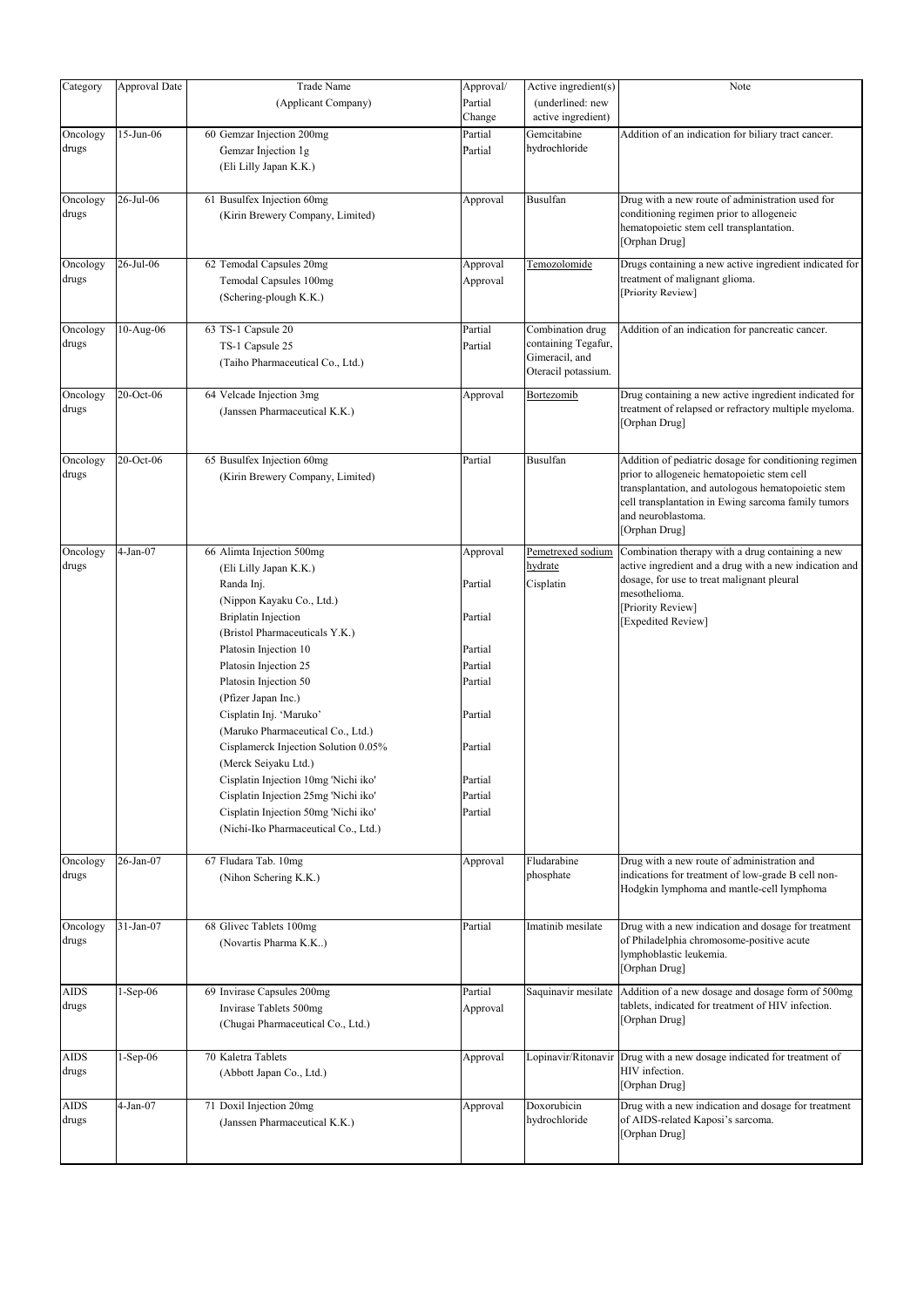| Category    | Approval Date | <b>Trade Name</b>                    | Approval/ | Active ingredient(s)         | Note                                                                                                       |
|-------------|---------------|--------------------------------------|-----------|------------------------------|------------------------------------------------------------------------------------------------------------|
|             |               | (Applicant Company)                  | Partial   | (underlined: new             |                                                                                                            |
|             |               |                                      | Change    | active ingredient)           |                                                                                                            |
|             | 15-Jun-06     |                                      |           | Gemcitabine                  |                                                                                                            |
| Oncology    |               | 60 Gemzar Injection 200mg            | Partial   | hydrochloride                | Addition of an indication for biliary tract cancer.                                                        |
| drugs       |               | Gemzar Injection 1g                  | Partial   |                              |                                                                                                            |
|             |               | (Eli Lilly Japan K.K.)               |           |                              |                                                                                                            |
|             |               |                                      |           |                              |                                                                                                            |
| Oncology    | 26-Jul-06     | 61 Busulfex Injection 60mg           | Approval  | Busulfan                     | Drug with a new route of administration used for                                                           |
| drugs       |               | (Kirin Brewery Company, Limited)     |           |                              | conditioning regimen prior to allogeneic                                                                   |
|             |               |                                      |           |                              | hematopoietic stem cell transplantation.                                                                   |
|             |               |                                      |           |                              | [Orphan Drug]                                                                                              |
| Oncology    | 26-Jul-06     | 62 Temodal Capsules 20mg             | Approval  | Temozolomide                 | Drugs containing a new active ingredient indicated for                                                     |
| drugs       |               | Temodal Capsules 100mg               | Approval  |                              | treatment of malignant glioma.                                                                             |
|             |               |                                      |           |                              | [Priority Review]                                                                                          |
|             |               | (Schering-plough K.K.)               |           |                              |                                                                                                            |
|             |               |                                      |           |                              |                                                                                                            |
| Oncology    | 10-Aug-06     | 63 TS-1 Capsule 20                   | Partial   | Combination drug             | Addition of an indication for pancreatic cancer.                                                           |
| drugs       |               | TS-1 Capsule 25                      | Partial   | containing Tegafur,          |                                                                                                            |
|             |               | (Taiho Pharmaceutical Co., Ltd.)     |           | Gimeracil, and               |                                                                                                            |
|             |               |                                      |           | Oteracil potassium.          |                                                                                                            |
| Oncology    | 20-Oct-06     | 64 Velcade Injection 3mg             | Approval  | Bortezomib                   | Drug containing a new active ingredient indicated for                                                      |
| drugs       |               | (Janssen Pharmaceutical K.K.)        |           |                              | treatment of relapsed or refractory multiple myeloma.                                                      |
|             |               |                                      |           |                              | [Orphan Drug]                                                                                              |
|             |               |                                      |           |                              |                                                                                                            |
| Oncology    | 20-Oct-06     | 65 Busulfex Injection 60mg           | Partial   | Busulfan                     | Addition of pediatric dosage for conditioning regimen                                                      |
| drugs       |               |                                      |           |                              | prior to allogeneic hematopoietic stem cell                                                                |
|             |               | (Kirin Brewery Company, Limited)     |           |                              | transplantation, and autologous hematopoietic stem                                                         |
|             |               |                                      |           |                              | cell transplantation in Ewing sarcoma family tumors                                                        |
|             |               |                                      |           |                              | and neuroblastoma.                                                                                         |
|             |               |                                      |           |                              | [Orphan Drug]                                                                                              |
|             |               |                                      |           |                              |                                                                                                            |
| Oncology    | $4-Jan-07$    | 66 Alimta Injection 500mg            | Approval  | Pemetrexed sodium<br>hydrate | Combination therapy with a drug containing a new<br>active ingredient and a drug with a new indication and |
| drugs       |               | (Eli Lilly Japan K.K.)               |           |                              | dosage, for use to treat malignant pleural                                                                 |
|             |               | Randa Inj.                           | Partial   | Cisplatin                    | mesothelioma.                                                                                              |
|             |               | (Nippon Kayaku Co., Ltd.)            |           |                              | [Priority Review]                                                                                          |
|             |               | <b>Briplatin Injection</b>           | Partial   |                              | [Expedited Review]                                                                                         |
|             |               | (Bristol Pharmaceuticals Y.K.)       |           |                              |                                                                                                            |
|             |               | Platosin Injection 10                | Partial   |                              |                                                                                                            |
|             |               | Platosin Injection 25                | Partial   |                              |                                                                                                            |
|             |               | Platosin Injection 50                | Partial   |                              |                                                                                                            |
|             |               |                                      |           |                              |                                                                                                            |
|             |               | (Pfizer Japan Inc.)                  |           |                              |                                                                                                            |
|             |               | Cisplatin Inj. 'Maruko'              | Partial   |                              |                                                                                                            |
|             |               | (Maruko Pharmaceutical Co., Ltd.)    |           |                              |                                                                                                            |
|             |               | Cisplamerck Injection Solution 0.05% | Partial   |                              |                                                                                                            |
|             |               | (Merck Seiyaku Ltd.)                 |           |                              |                                                                                                            |
|             |               | Cisplatin Injection 10mg 'Nichi iko' | Partial   |                              |                                                                                                            |
|             |               | Cisplatin Injection 25mg 'Nichi iko' | Partial   |                              |                                                                                                            |
|             |               | Cisplatin Injection 50mg 'Nichi iko' | Partial   |                              |                                                                                                            |
|             |               | (Nichi-Iko Pharmaceutical Co., Ltd.) |           |                              |                                                                                                            |
|             |               |                                      |           |                              |                                                                                                            |
| Oncology    | 26-Jan-07     | 67 Fludara Tab. 10mg                 |           | Fludarabine                  | Drug with a new route of administration and                                                                |
| drugs       |               |                                      | Approval  | phosphate                    | indications for treatment of low-grade B cell non-                                                         |
|             |               | (Nihon Schering K.K.)                |           |                              | Hodgkin lymphoma and mantle-cell lymphoma                                                                  |
|             |               |                                      |           |                              |                                                                                                            |
|             |               |                                      |           |                              |                                                                                                            |
| Oncology    | 31-Jan-07     | 68 Glivec Tablets 100mg              | Partial   | Imatinib mesilate            | Drug with a new indication and dosage for treatment                                                        |
| drugs       |               | (Novartis Pharma K.K)                |           |                              | of Philadelphia chromosome-positive acute                                                                  |
|             |               |                                      |           |                              | lymphoblastic leukemia.                                                                                    |
|             |               |                                      |           |                              | [Orphan Drug]                                                                                              |
| <b>AIDS</b> | $1-Sep-06$    | 69 Invirase Capsules 200mg           | Partial   | Saquinavir mesilate          | Addition of a new dosage and dosage form of 500mg                                                          |
| drugs       |               | Invirase Tablets 500mg               | Approval  |                              | tablets, indicated for treatment of HIV infection.                                                         |
|             |               | (Chugai Pharmaceutical Co., Ltd.)    |           |                              | [Orphan Drug]                                                                                              |
|             |               |                                      |           |                              |                                                                                                            |
|             |               |                                      |           |                              |                                                                                                            |
| AIDS        | $1-Sep-06$    | 70 Kaletra Tablets                   | Approval  | Lopinavir/Ritonavir          | Drug with a new dosage indicated for treatment of                                                          |
| drugs       |               | (Abbott Japan Co., Ltd.)             |           |                              | HIV infection.                                                                                             |
|             |               |                                      |           |                              | [Orphan Drug]                                                                                              |
| AIDS        | $4-Jan-07$    | 71 Doxil Injection 20mg              | Approval  | Doxorubicin                  | Drug with a new indication and dosage for treatment                                                        |
| drugs       |               | (Janssen Pharmaceutical K.K.)        |           | hydrochloride                | of AIDS-related Kaposi's sarcoma.                                                                          |
|             |               |                                      |           |                              | [Orphan Drug]                                                                                              |
|             |               |                                      |           |                              |                                                                                                            |
|             |               |                                      |           |                              |                                                                                                            |